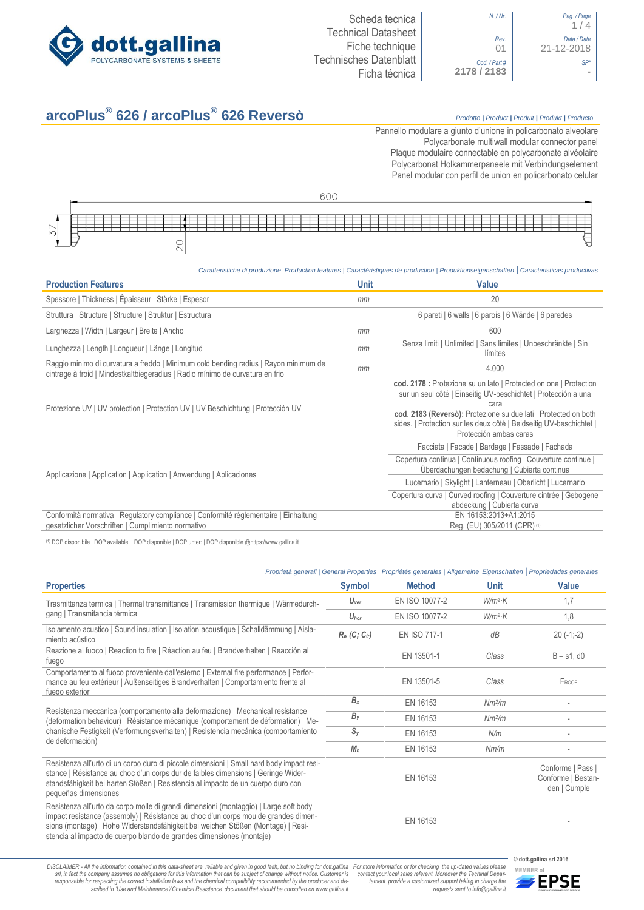

| / Nr.        | Pag. / Page<br>1/4        |
|--------------|---------------------------|
| Rev.<br>01   | Data / Date<br>21-12-2018 |
| Part #<br>83 |                           |

# **arcoPlus® 626 / arcoPlus®**

## **626 Reversò** *Prodotto <sup>|</sup> Product <sup>|</sup> Produit <sup>|</sup> Produkt <sup>|</sup> Producto*

Pannello modulare a giunto d'unione in policarbonato alveolare Polycarbonate multiwall modular connector panel Plaque modulaire connectable en polycarbonate alvéolaire Polycarbonat Holkammerpaneele mit Verbindungselement Panel [modular con perfil de union en](http://www.google.it/url?sa=t&rct=j&q=&esrc=s&source=web&cd=6&ved=0ahUKEwiPyOW6w_3PAhXLORoKHXbkAhUQFggtMAU&url=http%3A%2F%2Fwww.getsl.com%2Fes%2Fmateriales-construccion%2Fsabic-policarbonato%2Fplaca-solida%2Flexan-exell-d-placa-translucida%2F&usg=AFQjCNF4aMpg9CRcF79iWWH-XBKKMH3eWA&bvm=bv.136811127,d.bGs) policarbonato celular



#### *Caratteristiche di produzione| Production features | Caractéristiques de production | Produktionseigenschaften* **|** *Caracteristicas productivas*

| <b>Production Features</b>                                                                                                                                            | <b>Unit</b>                                         | Value                                                                                                                                                            |
|-----------------------------------------------------------------------------------------------------------------------------------------------------------------------|-----------------------------------------------------|------------------------------------------------------------------------------------------------------------------------------------------------------------------|
| Spessore   Thickness   Épaisseur   Stärke   Espesor                                                                                                                   | mm                                                  | 20                                                                                                                                                               |
| Struttura   Structure   Structure   Struktur   Estructura                                                                                                             |                                                     | 6 pareti   6 walls   6 parois   6 Wände   6 paredes                                                                                                              |
| Larghezza   Width   Largeur   Breite   Ancho                                                                                                                          | mm                                                  | 600                                                                                                                                                              |
| Lunghezza   Length   Longueur   Länge   Longitud                                                                                                                      | mm                                                  | Senza limiti   Unlimited   Sans limites   Unbeschränkte   Sin<br>límites                                                                                         |
| Raggio minimo di curvatura a freddo   Minimum cold bending radius   Rayon minimum de<br>cintrage à froid   Mindestkaltbiegeradius   Radio mínimo de curvatura en frio | mm                                                  | 4.000                                                                                                                                                            |
| Protezione UV   UV protection   Protection UV   UV Beschichtung   Protección UV                                                                                       |                                                     | cod. 2178 : Protezione su un lato   Protected on one   Protection<br>sur un seul côté   Einseitig UV-beschichtet   Protección a una<br>cara                      |
|                                                                                                                                                                       |                                                     | cod. 2183 (Reversò): Protezione su due lati   Protected on both<br>sides.   Protection sur les deux côté   Beidseitig UV-beschichtet  <br>Protección ambas caras |
|                                                                                                                                                                       |                                                     | Facciata   Facade   Bardage   Fassade   Fachada                                                                                                                  |
| Applicazione   Application   Application   Anwendung   Aplicaciones                                                                                                   | abdeckung   Cubierta curva<br>EN 16153:2013+A1:2015 | Copertura continua   Continuous roofing   Couverture continue  <br>Überdachungen bedachung   Cubierta continua                                                   |
|                                                                                                                                                                       |                                                     | Lucernario   Skylight   Lanterneau   Oberlicht   Lucernario                                                                                                      |
|                                                                                                                                                                       |                                                     | Copertura curva   Curved roofing   Couverture cintrée   Gebogene                                                                                                 |
| Conformità normativa   Regulatory compliance   Conformité réglementaire   Einhaltung<br>gesetzlicher Vorschriften   Cumplimiento normativo                            |                                                     | Reg. (EU) 305/2011 (CPR) (1)                                                                                                                                     |

(1) DOP disponibile | DOP available | DOP disponible | DOP unter: | DOP disponible @https://www.gallina.it

| Proprietà generali   General Properties   Propriétés generales   Allgemeine Eigenschaften   Propriedades generales                                                                                                                                                                                                                      |                                                                  |                     |                    |                                                         |
|-----------------------------------------------------------------------------------------------------------------------------------------------------------------------------------------------------------------------------------------------------------------------------------------------------------------------------------------|------------------------------------------------------------------|---------------------|--------------------|---------------------------------------------------------|
| <b>Properties</b>                                                                                                                                                                                                                                                                                                                       | <b>Symbol</b>                                                    | <b>Method</b>       | Unit               | <b>Value</b>                                            |
| Trasmittanza termica   Thermal transmittance   Transmission thermique   Wärmedurch-                                                                                                                                                                                                                                                     | $U_{\text{ver}}$                                                 | EN ISO 10077-2      | $W/m^2$ K          | 1.7                                                     |
| gang   Transmitancia térmica                                                                                                                                                                                                                                                                                                            | $U_{\text{hor}}$                                                 | EN ISO 10077-2      | $W/m^2$ ·K         | 1,8                                                     |
| Isolamento acustico   Sound insulation   Isolation acoustique   Schalldämmung   Aisla-<br>miento acústico                                                                                                                                                                                                                               | $R_w(C; C_{tr})$                                                 | <b>EN ISO 717-1</b> | dB                 | $20(-1,-2)$                                             |
| Reazione al fuoco   Reaction to fire   Réaction au feu   Brandverhalten   Reacción al<br>fuego                                                                                                                                                                                                                                          |                                                                  | EN 13501-1          | Class              | $B - s1$ , d $0$                                        |
| Comportamento al fuoco proveniente dall'esterno   External fire performance   Perfor-<br>mance au feu extérieur   Außenseitiges Brandverhalten   Comportamiento frente al<br>fuego exterior                                                                                                                                             |                                                                  | EN 13501-5          | Class              | FROOF                                                   |
|                                                                                                                                                                                                                                                                                                                                         | $B_{x}$                                                          | EN 16153            | Nm <sup>2</sup> /m |                                                         |
| Resistenza meccanica (comportamento alla deformazione)   Mechanical resistance<br>(deformation behaviour)   Résistance mécanique (comportement de déformation)   Me-                                                                                                                                                                    | $B_y$                                                            | EN 16153            | Nm <sup>2</sup> /m |                                                         |
| chanische Festigkeit (Verformungsverhalten)   Resistencia mecánica (comportamiento                                                                                                                                                                                                                                                      | $S_{V}$<br>EN 16153<br>N/m<br>EN 16153<br>M <sub>b</sub><br>Nm/m |                     |                    |                                                         |
| de deformación)                                                                                                                                                                                                                                                                                                                         |                                                                  |                     |                    |                                                         |
| Resistenza all'urto di un corpo duro di piccole dimensioni   Small hard body impact resi-<br>stance   Résistance au choc d'un corps dur de faibles dimensions   Geringe Wider-<br>standsfähigkeit bei harten Stößen   Resistencia al impacto de un cuerpo duro con<br>pequeñas dimensiones                                              |                                                                  | EN 16153            |                    | Conforme   Pass  <br>Conforme   Bestan-<br>den   Cumple |
| Resistenza all'urto da corpo molle di grandi dimensioni (montaggio)   Large soft body<br>impact resistance (assembly)   Résistance au choc d'un corps mou de grandes dimen-<br>sions (montage)   Hohe Widerstandsfähigkeit bei weichen Stößen (Montage)   Resi-<br>stencia al impacto de cuerpo blando de grandes dimensiones (montaje) |                                                                  | EN 16153            |                    |                                                         |

DISCLAIMER - All the information contained in this data-sheet are reliable and given in good faith, but no binding for dott.gallina For more information or for checking the up-dated values please<br>-srl, in fact the company -responsable for respecting the correct installation laws and the chemical compatibility recommended by the producer and de-<br>scribed in 'Use and Maintenance'/'Chemical Resistence' document that should be consulted on www.g

*tement provide a customized support taking in charge the requests sent to info@gallina.it*



**MEMBER of**<br>**MEMBER of**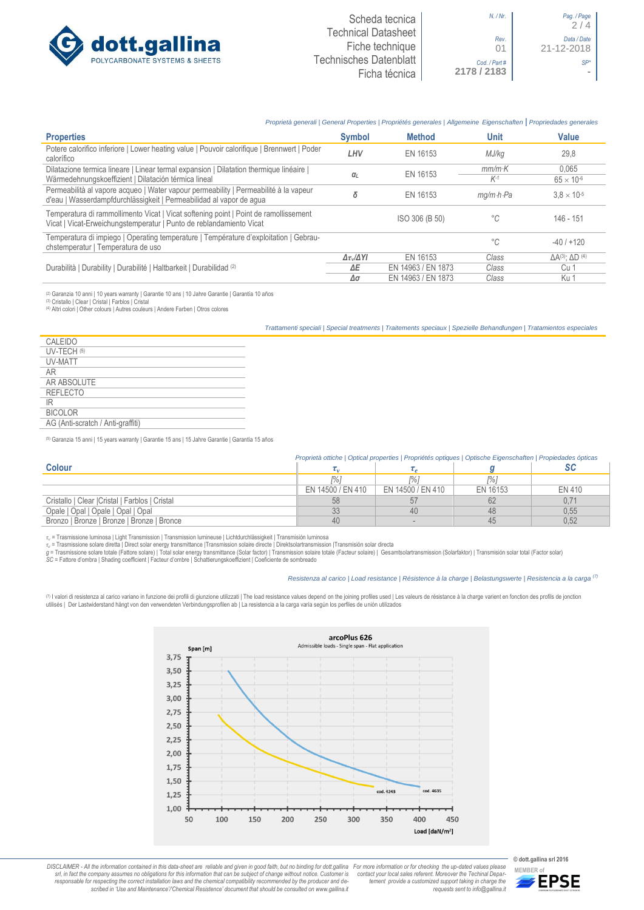

 $2/4$ 

01 21-12-2018

### *Proprietà generali | General Properties | Propriétés generales | Allgemeine Eigenschaften* **|** *Propriedades generales*

| <b>Properties</b>                                                                                                                                           | <b>Symbol</b>              | <b>Method</b>      | Unit                    | <b>Value</b>                        |
|-------------------------------------------------------------------------------------------------------------------------------------------------------------|----------------------------|--------------------|-------------------------|-------------------------------------|
| Potere calorifico inferiore   Lower heating value   Pouvoir calorifique   Brennwert   Poder<br>calorífico                                                   | LHV                        | EN 16153           | MJ/kg                   | 29.8                                |
| Dilatazione termica lineare   Linear termal expansion   Dilatation thermique linéaire                                                                       |                            | EN 16153           | $mm/m$ K                | 0.065                               |
| Wärmedehnungskoeffizient   Dilatación térmica lineal                                                                                                        | $\alpha$                   |                    | $K-1$                   | $65 \times 10^{-6}$                 |
| Permeabilità al vapore acqueo   Water vapour permeability   Permeabilité à la vapeur<br>d'eau   Wasserdampfdurchlässigkeit   Permeabilidad al vapor de agua | δ                          | EN 16153           | $ma/m \cdot h \cdot Pa$ | $3.8 \times 10^{-5}$                |
| Temperatura di rammollimento Vicat   Vicat softening point   Point de ramollissement<br>Vicat   Vicat-Erweichungstemperatur   Punto de reblandamiento Vicat |                            | ISO 306 (B 50)     | °C                      | 146 - 151                           |
| Temperatura di impiego   Operating temperature   Température d'exploitation   Gebrau-<br>chstemperatur   Temperatura de uso                                 |                            |                    | $^{\circ}C$             | $-40/+120$                          |
|                                                                                                                                                             | $\Delta \tau_v/\Delta Y I$ | EN 16153           | Class                   | $\Delta A^{(3)}$ : $\Delta D^{(4)}$ |
| Durabilità   Durability   Durabilité   Haltbarkeit   Durabilidad (2)                                                                                        | ΔE                         | EN 14963 / EN 1873 | Class                   | Cu 1                                |
|                                                                                                                                                             | Δσ                         | EN 14963 / EN 1873 | Class                   | Ku 1                                |

@ Garanzia 10 anni | 10 years warranty | Garantie 10 ans | 10 Jahre Garantie | Garantia 10 años<br>@ Cristallo | Clear | Cristal | Farblos | Cristal<br>@ Altri colori | Other colours | Autres couleurs | Andere Farben | Otros co

*Trattamenti speciali | Special treatments | Traitements speciaux | Spezielle Behandlungen | Tratamientos especiales*

| CALEIDO                           |
|-----------------------------------|
| UV-TECH (5)                       |
| <b>IJV-MATT</b>                   |
| AR                                |
| AR ABSOLUTE                       |
| <b>REFLECTO</b>                   |
| IR                                |
| <b>BICOLOR</b>                    |
| AG (Anti-scratch / Anti-graffiti) |
|                                   |

(5) Garanzia 15 anni | 15 years warranty | Garantie 15 ans | 15 Jahre Garantie | Garantía 15 años

|                                                 | Proprietà ottiche   Optical properties   Propriétés optiques   Optische Eigenschaften   Propiedades ópticas |                   |          |        |
|-------------------------------------------------|-------------------------------------------------------------------------------------------------------------|-------------------|----------|--------|
| <b>Colour</b>                                   |                                                                                                             |                   |          |        |
|                                                 |                                                                                                             | 1% i              | 1% ì     |        |
|                                                 | EN 14500 / EN 410                                                                                           | EN 14500 / EN 410 | EN 16153 | EN 410 |
| Cristallo   Clear   Cristal   Farblos   Cristal | 58                                                                                                          |                   |          | 0.71   |
| Opale   Opal   Opale   Opal   Opal              | 33                                                                                                          | 40                | 48       | 0,55   |
| Bronzo   Bronze   Bronze   Bronze   Bronce      | 40                                                                                                          |                   |          | 0,52   |

*τ<sup>v</sup>* = Trasmissione luminosa | Light Transmission | Transmission lumineuse | Lichtdurchlässigkeit | Transmisión luminosa

r<sub>c</sub> = Trasmissione solare diretta | Direct solar energy transmittance |Transmission solaire directe | Direktsolartransmission |Transmisión solar directa<br>g = Trasmissione solare totale (Fattore solare) | Total solar benef

#### *Resistenza al carico | Load resistance | Résistence à la charge | Belastungswerte | Resistencia a la carga (7)*

(⊓ I valori di resistenza al carico variano in funzione dei profili di giunzione utilizzati | The load resistance values depend on the joining profiles used | Les valeurs de résistance à la charge varient en fonction des



DISCLAIMER - All the information contained in this data-sheet are reliable and given in good faith, but no binding for dott.gallina For more information or for checking the up-dated values please<br>-srl, in fact the company -responsable for respecting the correct installation laws and the chemical compatibility recommended by the producer and de-<br>scribed in 'Use and Maintenance'/'Chemical Resistence' document that should be consulted on www.g

*tement provide a customized support taking in charge the requests sent to info@gallina.it*



**© dott.gallina srl 2016**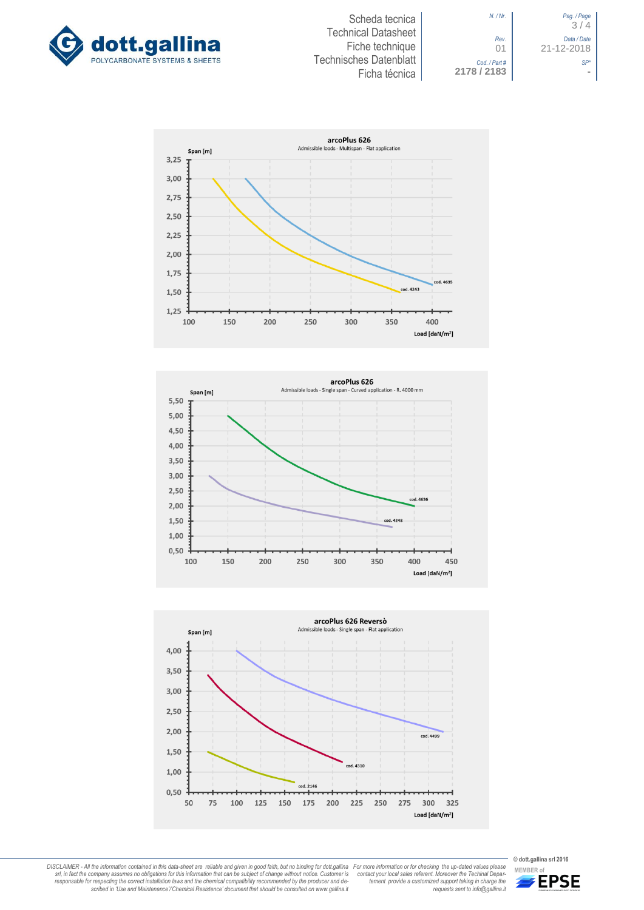



*N. / Nr*. *Pag. / Page* 3 / 4 *Rev*. *Data / Date* 01 21-12-2018









DISCLAIMER - All the information contained in this data-sheet are reliable and given in good faith, but no binding for dott.gallina<br>srl, in fact the company assumes no obligations for this information that can be subject o

For more information or for checking the up-dated values please<br>contact your local sales referent. Moreover the Technial Depar-<br>tement provide a customized support taking in charge the<br>requests sent to info@gallina.it